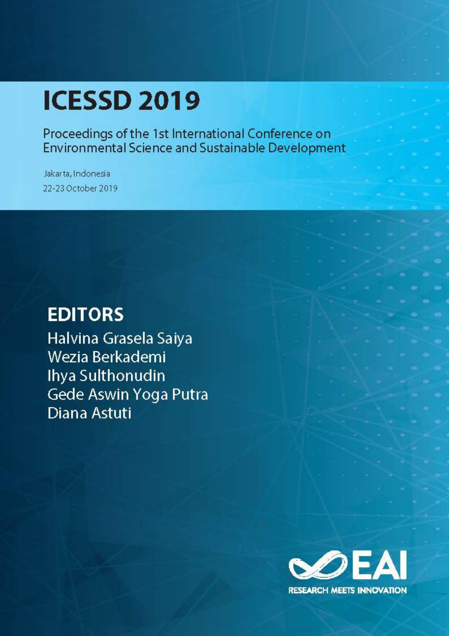# **ICESSD 2019**

Proceedings of the 1st International Conference on Environmental Science and Sustainable Development

Jakarta, Indonesia 22-23 October 2019

# **EDITORS**

Halvina Grasela Saiya Wezia Berkademi Ihya Sulthonudin Gede Aswin Yoga Putra **Diana Astuti** 

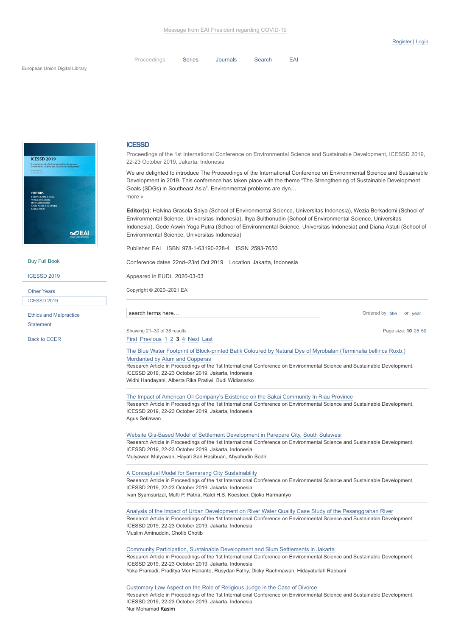Page size: **[10](https://eudl.eu/proceedings/ICESSD/2019?articles_per_page=10&articles_page=3&q=)** [25](https://eudl.eu/proceedings/ICESSD/2019?articles_per_page=25&articles_page=3&q=) [50](https://eudl.eu/proceedings/ICESSD/2019?articles_per_page=50&articles_page=3&q=)

Ordered by [title](https://eudl.eu/proceedings/ICESSD/2019?order_title=desc&articles_page=3&q=) or [year](https://eudl.eu/proceedings/ICESSD/2019?order_year=asc&articles_page=3&q=)

| Proceedings | Series Journals | Search | EAI |
|-------------|-----------------|--------|-----|
|             |                 |        |     |



[Buy Full Book](https://play.google.com/store/books/details?id=sq8IEAAAQBAJ)

[ICESSD 2019](https://eudl.eu/proceedings/ICESSD/2019)

[ICESSD](https://eudl.eu/proceedings/ICESSD/2019) 2019 Other Years

[Ethics and Malpractice](https://eudl.eu/ethics) **Statement** 

[Back to CCER](https://eudl.eu/series/CCER)

#### **ICESSD**

Proceedings of the 1st International Conference on Environmental Science and Sustainable Development, ICESSD 2019, 22-23 October 2019, Jakarta, Indonesia

We are delighted to introduce The Proceedings of the International Conference on Environmental Science and Sustainable Development in 2019. This conference has taken place with the theme "The Strengthening of Sustainable Development Goals (SDGs) in Southeast Asia". Environmental problems are dyn… more »

**Editor(s):** Halvina Grasela Saiya (School of Environmental Science, Universitas Indonesia), Wezia Berkademi (School of Environmental Science, Universitas Indonesia), Ihya Sulthonudin (School of Environmental Science, Universitas Indonesia), Gede Aswin Yoga Putra (School of Environmental Science, Universitas Indonesia) and Diana Astuti (School of Environmental Science, Universitas Indonesia)

Publisher EAI ISBN 978-1-63190-228-4 ISSN 2593-7650

Conference dates 22nd–23rd Oct 2019 Location Jakarta, Indonesia

Appeared in EUDL 2020-03-03

Copyright © 2020–2021 EAI

search terms here...

Showing 21–30 of 38 results

[First](https://eudl.eu/proceedings/ICESSD/2019?articles_page=1&q=) [Previous](https://eudl.eu/proceedings/ICESSD/2019?articles_page=2&q=) [1](https://eudl.eu/proceedings/ICESSD/2019?articles_page=1&q=) [2](https://eudl.eu/proceedings/ICESSD/2019?articles_page=2&q=) **[3](https://eudl.eu/proceedings/ICESSD/2019?articles_page=3&q=)** [4](https://eudl.eu/proceedings/ICESSD/2019?articles_page=4&q=) [Next](https://eudl.eu/proceedings/ICESSD/2019?articles_page=4&q=) [Last](https://eudl.eu/proceedings/ICESSD/2019?articles_page=4&q=)

[The Blue Water Footprint of Block-printed Batik Coloured by Natural Dye of Myrobalan \(Terminalia bellirica Roxb.\)](https://eudl.eu/doi/10.4108/eai.22-10-2019.2291490) Mordanted by Alum and Copperas

Research Article in Proceedings of the 1st International Conference on Environmental Science and Sustainable Development, ICESSD 2019, 22-23 October 2019, Jakarta, Indonesia Widhi Handayani, Alberta Rika Pratiwi, Budi Widianarko

[The Impact of American Oil Company's Existence on the Sakai Community In Riau Province](https://eudl.eu/doi/10.4108/eai.22-10-2019.2291481) Research Article in Proceedings of the 1st International Conference on Environmental Science and Sustainable Development, ICESSD 2019, 22-23 October 2019, Jakarta, Indonesia Agus Setiawan

[Website Gis-Based Model of Settlement Development in Parepare City, South Sulawesi](https://eudl.eu/doi/10.4108/eai.22-10-2019.2291469) Research Article in Proceedings of the 1st International Conference on Environmental Science and Sustainable Development, ICESSD 2019, 22-23 October 2019, Jakarta, Indonesia Mulyawan Mulyawan, Hayati Sari Hasibuan, Ahyahudin Sodri

[A Conceptual Model for Semarang City Sustainability](https://eudl.eu/doi/10.4108/eai.22-10-2019.2291484) Research Article in Proceedings of the 1st International Conference on Environmental Science and Sustainable Development, ICESSD 2019, 22-23 October 2019, Jakarta, Indonesia Ivan Syamsurizal, Mufti P. Patria, Raldi H.S. Koestoer, Djoko Harmantyo

[Analysis of the Impact of Urban Development on River Water Quality Case Study of the Pesanggrahan River](https://eudl.eu/doi/10.4108/eai.22-10-2019.2291498) Research Article in Proceedings of the 1st International Conference on Environmental Science and Sustainable Development, ICESSD 2019, 22-23 October 2019, Jakarta, Indonesia Muslim Aminuddin, Chotib Chotib

[Community Participation, Sustainable Development and Slum Settlements in Jakarta](https://eudl.eu/doi/10.4108/eai.22-10-2019.2291482) Research Article in Proceedings of the 1st International Conference on Environmental Science and Sustainable Development, ICESSD 2019, 22-23 October 2019, Jakarta, Indonesia Yoka Pramadi, Praditya Mer Hananto, Rusydan Fathy, Dicky Rachmawan, Hidayatullah Rabbani

[Customary Law Aspect on the Role of Religious Judge in the Case of Divorce](https://eudl.eu/doi/10.4108/eai.22-10-2019.2291462) Research Article in Proceedings of the 1st International Conference on Environmental Science and Sustainable Development, ICESSD 2019, 22-23 October 2019, Jakarta, Indonesia Nur Mohamad Kasim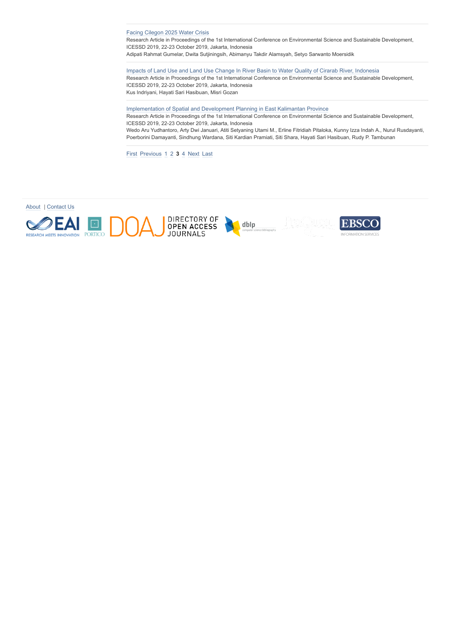[Facing Cilegon 2025 Water Crisis](https://eudl.eu/doi/10.4108/eai.22-10-2019.2291679)

Research Article in Proceedings of the 1st International Conference on Environmental Science and Sustainable Development, ICESSD 2019, 22-23 October 2019, Jakarta, Indonesia Adipati Rahmat Gumelar, Dwita Sutjiningsih, Abimanyu Takdir Alamsyah, Setyo Sarwanto Moersidik

[Impacts of Land Use and Land Use Change In River Basin to Water Quality of Cirarab River, Indonesia](https://eudl.eu/doi/10.4108/eai.22-10-2019.2292423)

Research Article in Proceedings of the 1st International Conference on Environmental Science and Sustainable Development, ICESSD 2019, 22-23 October 2019, Jakarta, Indonesia Kus Indriyani, Hayati Sari Hasibuan, Misri Gozan

[Implementation of Spatial and Development Planning in East Kalimantan Province](https://eudl.eu/doi/10.4108/eai.22-10-2019.2291496)

Research Article in Proceedings of the 1st International Conference on Environmental Science and Sustainable Development, ICESSD 2019, 22-23 October 2019, Jakarta, Indonesia

Wedo Aru Yudhantoro, Arty Dwi Januari, Atiti Setyaning Utami M., Erline Fitridiah Pitaloka, Kunny Izza Indah A., Nurul Rusdayanti, Poerborini Damayanti, Sindhung Wardana, Siti Kardian Pramiati, Siti Shara, Hayati Sari Hasibuan, Rudy P. Tambunan

[First](https://eudl.eu/proceedings/ICESSD/2019?articles_page=1&q=) [Previous](https://eudl.eu/proceedings/ICESSD/2019?articles_page=2&q=) [1](https://eudl.eu/proceedings/ICESSD/2019?articles_page=1&q=) [2](https://eudl.eu/proceedings/ICESSD/2019?articles_page=2&q=) **[3](https://eudl.eu/proceedings/ICESSD/2019?articles_page=3&q=)** [4](https://eudl.eu/proceedings/ICESSD/2019?articles_page=4&q=) [Next](https://eudl.eu/proceedings/ICESSD/2019?articles_page=4&q=) [Last](https://eudl.eu/proceedings/ICESSD/2019?articles_page=4&q=)



[About](https://eudl.eu/about) | [Contact Us](https://eudl.eu/contact)

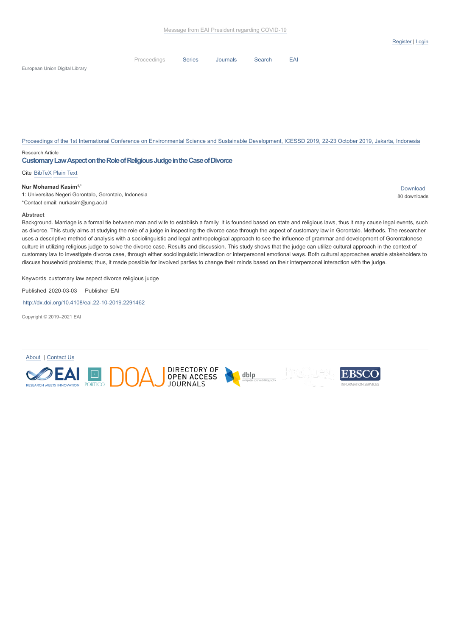[Series](https://eudl.eu/series) [Journals](https://eudl.eu/journals) [Search](https://eudl.eu/content) [EAI](http://eai.eu/)

European Union Digital Library

[Proceedings of the 1st International Conference on Environmental Science and Sustainable Development, ICESSD 2019, 22-23 October 2019, Jakarta, Indonesia](https://eudl.eu/proceedings/ICESSD/2019)

#### Research Article

#### **CustomaryLawAspectontheRoleofReligiousJudgeintheCaseofDivorce**

[Proceedings](https://eudl.eu/proceedings)

#### Cite [BibTeX](https://eudl.eu/doi/10.4108/eai.22-10-2019.2291462) [Plain Text](https://eudl.eu/doi/10.4108/eai.22-10-2019.2291462)

#### **Nur Mohamad Kasim1,\***

1: Universitas Negeri Gorontalo, Gorontalo, Indonesia \*Contact email: nurkasim@ung.ac.id

[Download](https://eudl.eu/pdf/10.4108/eai.22-10-2019.2291462) 80 downloads

#### **Abstract**

Background. Marriage is a formal tie between man and wife to establish a family. It is founded based on state and religious laws, thus it may cause legal events, such as divorce. This study aims at studying the role of a judge in inspecting the divorce case through the aspect of customary law in Gorontalo. Methods. The researcher uses a descriptive method of analysis with a sociolinguistic and legal anthropological approach to see the influence of grammar and development of Gorontalonese culture in utilizing religious judge to solve the divorce case. Results and discussion. This study shows that the judge can utilize cultural approach in the context of customary law to investigate divorce case, through either sociolinguistic interaction or interpersonal emotional ways. Both cultural approaches enable stakeholders to discuss household problems; thus, it made possible for involved parties to change their minds based on their interpersonal interaction with the judge.

Keywords customary law aspect divorce religious judge

Published 2020-03-03 Publisher EAI

[http://dx.doi.org/10.4108/eai.22-10-2019.2291462](https://dx.doi.org/10.4108/eai.22-10-2019.2291462)

Copyright © 2019–2021 EAI

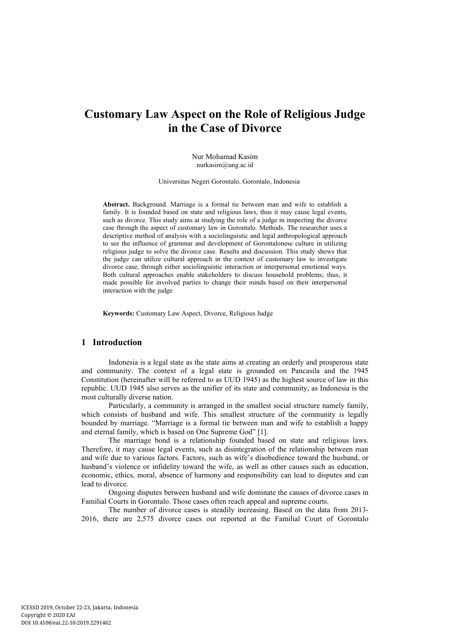# **Customary Law Aspect on the Role of Religious Judge in the Case of Divorce**

Nur Mohamad Kasim nurkasim@ung.ac.id

Universitas Negeri Gorontalo, Gorontalo, Indonesia

**Abstract.** Background. Marriage is a formal tie between man and wife to establish a family. It is founded based on state and religious laws, thus it may cause legal events, such as divorce. This study aims at studying the role of a judge in inspecting the divorce case through the aspect of customary law in Gorontalo. Methods. The researcher uses a descriptive method of analysis with a sociolinguistic and legal anthropological approach to see the influence of grammar and development of Gorontalonese culture in utilizing religious judge to solve the divorce case. Results and discussion. This study shows that the judge can utilize cultural approach in the context of customary law to investigate divorce case, through either sociolinguistic interaction or interpersonal emotional ways. Both cultural approaches enable stakeholders to discuss household problems; thus, it made possible for involved parties to change their minds based on their interpersonal interaction with the judge

**Keywords:** Customary Law Aspect, Divorce, Religious Judge

# **1 Introduction**

Indonesia is a legal state as the state aims at creating an orderly and prosperous state and community. The context of a legal state is grounded on Pancasila and the 1945 Constitution (hereinafter will be referred to as UUD 1945) as the highest source of law in this republic. UUD 1945 also serves as the unifier of its state and community, as Indonesia is the most culturally diverse nation.

Particularly, a community is arranged in the smallest social structure namely family, which consists of husband and wife. This smallest structure of the community is legally bounded by marriage. "Marriage is a formal tie between man and wife to establish a happy and eternal family, which is based on One Supreme God" [1].

The marriage bond is a relationship founded based on state and religious laws. Therefore, it may cause legal events, such as disintegration of the relationship between man and wife due to various factors. Factors, such as wife's disobedience toward the husband, or husband's violence or infidelity toward the wife, as well as other causes such as education, economic, ethics, moral, absence of harmony and responsibility can lead to disputes and can lead to divorce.

Ongoing disputes between husband and wife dominate the causes of divorce cases in Familial Courts in Gorontalo. Those cases often reach appeal and supreme courts.

The number of divorce cases is steadily increasing. Based on the data from 2013- 2016, there are 2,575 divorce cases out reported at the Familial Court of Gorontalo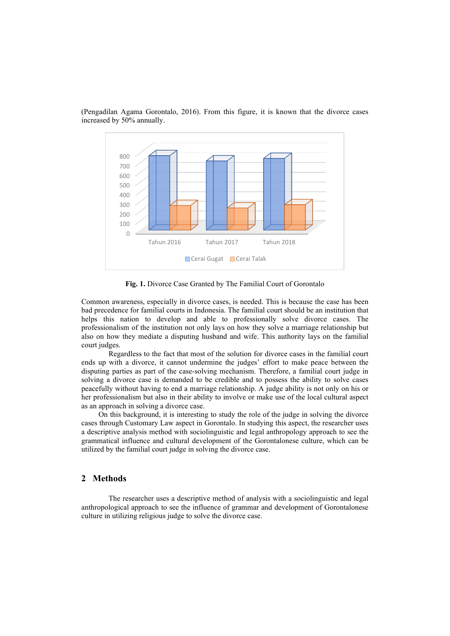

(Pengadilan Agama Gorontalo, 2016). From this figure, it is known that the divorce cases increased by 50% annually.

**Fig. 1.** Divorce Case Granted by The Familial Court of Gorontalo

Common awareness, especially in divorce cases, is needed. This is because the case has been bad precedence for familial courts in Indonesia. The familial court should be an institution that helps this nation to develop and able to professionally solve divorce cases. The professionalism of the institution not only lays on how they solve a marriage relationship but also on how they mediate a disputing husband and wife. This authority lays on the familial court judges.

Regardless to the fact that most of the solution for divorce cases in the familial court ends up with a divorce, it cannot undermine the judges' effort to make peace between the disputing parties as part of the case-solving mechanism. Therefore, a familial court judge in solving a divorce case is demanded to be credible and to possess the ability to solve cases peacefully without having to end a marriage relationship. A judge ability is not only on his or her professionalism but also in their ability to involve or make use of the local cultural aspect as an approach in solving a divorce case.

On this background, it is interesting to study the role of the judge in solving the divorce cases through Customary Law aspect in Gorontalo. In studying this aspect, the researcher uses a descriptive analysis method with sociolinguistic and legal anthropology approach to see the grammatical influence and cultural development of the Gorontalonese culture, which can be utilized by the familial court judge in solving the divorce case.

## **2 Methods**

The researcher uses a descriptive method of analysis with a sociolinguistic and legal anthropological approach to see the influence of grammar and development of Gorontalonese culture in utilizing religious judge to solve the divorce case.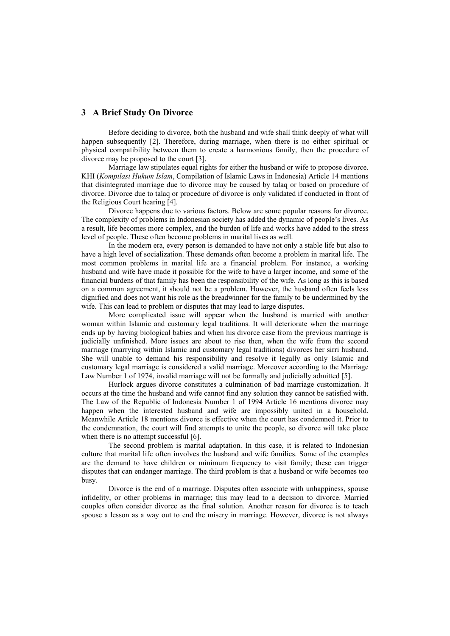### **3 A Brief Study On Divorce**

Before deciding to divorce, both the husband and wife shall think deeply of what will happen subsequently [2]. Therefore, during marriage, when there is no either spiritual or physical compatibility between them to create a harmonious family, then the procedure of divorce may be proposed to the court [3].

Marriage law stipulates equal rights for either the husband or wife to propose divorce. KHI (*Kompilasi Hukum Islam*, Compilation of Islamic Laws in Indonesia) Article 14 mentions that disintegrated marriage due to divorce may be caused by talaq or based on procedure of divorce. Divorce due to talaq or procedure of divorce is only validated if conducted in front of the Religious Court hearing [4].

Divorce happens due to various factors. Below are some popular reasons for divorce. The complexity of problems in Indonesian society has added the dynamic of people's lives. As a result, life becomes more complex, and the burden of life and works have added to the stress level of people. These often become problems in marital lives as well.

In the modern era, every person is demanded to have not only a stable life but also to have a high level of socialization. These demands often become a problem in marital life. The most common problems in marital life are a financial problem. For instance, a working husband and wife have made it possible for the wife to have a larger income, and some of the financial burdens of that family has been the responsibility of the wife. As long as this is based on a common agreement, it should not be a problem. However, the husband often feels less dignified and does not want his role as the breadwinner for the family to be undermined by the wife. This can lead to problem or disputes that may lead to large disputes.

More complicated issue will appear when the husband is married with another woman within Islamic and customary legal traditions. It will deteriorate when the marriage ends up by having biological babies and when his divorce case from the previous marriage is judicially unfinished. More issues are about to rise then, when the wife from the second marriage (marrying within Islamic and customary legal traditions) divorces her sirri husband. She will unable to demand his responsibility and resolve it legally as only Islamic and customary legal marriage is considered a valid marriage. Moreover according to the Marriage Law Number 1 of 1974, invalid marriage will not be formally and judicially admitted [5].

Hurlock argues divorce constitutes a culmination of bad marriage customization. It occurs at the time the husband and wife cannot find any solution they cannot be satisfied with. The Law of the Republic of Indonesia Number 1 of 1994 Article 16 mentions divorce may happen when the interested husband and wife are impossibly united in a household. Meanwhile Article 18 mentions divorce is effective when the court has condemned it. Prior to the condemnation, the court will find attempts to unite the people, so divorce will take place when there is no attempt successful [6].

The second problem is marital adaptation. In this case, it is related to Indonesian culture that marital life often involves the husband and wife families. Some of the examples are the demand to have children or minimum frequency to visit family; these can trigger disputes that can endanger marriage. The third problem is that a husband or wife becomes too busy.

Divorce is the end of a marriage. Disputes often associate with unhappiness, spouse infidelity, or other problems in marriage; this may lead to a decision to divorce. Married couples often consider divorce as the final solution. Another reason for divorce is to teach spouse a lesson as a way out to end the misery in marriage. However, divorce is not always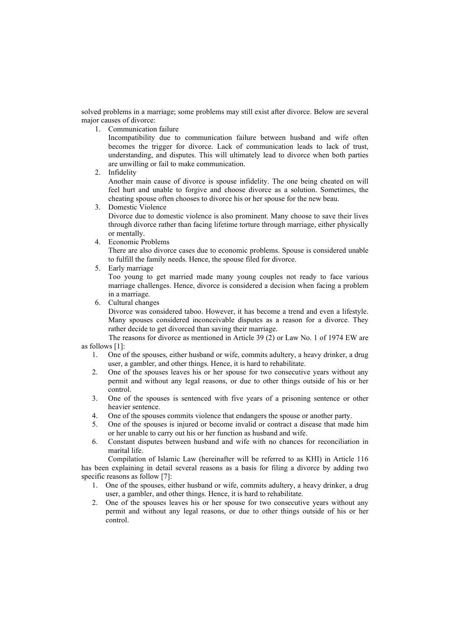solved problems in a marriage; some problems may still exist after divorce. Below are several major causes of divorce:

1. Communication failure

Incompatibility due to communication failure between husband and wife often becomes the trigger for divorce. Lack of communication leads to lack of trust, understanding, and disputes. This will ultimately lead to divorce when both parties are unwilling or fail to make communication.

2. Infidelity

Another main cause of divorce is spouse infidelity. The one being cheated on will feel hurt and unable to forgive and choose divorce as a solution. Sometimes, the cheating spouse often chooses to divorce his or her spouse for the new beau.

3. Domestic Violence

Divorce due to domestic violence is also prominent. Many choose to save their lives through divorce rather than facing lifetime torture through marriage, either physically or mentally.

4. Economic Problems

There are also divorce cases due to economic problems. Spouse is considered unable to fulfill the family needs. Hence, the spouse filed for divorce.

5. Early marriage

Too young to get married made many young couples not ready to face various marriage challenges. Hence, divorce is considered a decision when facing a problem in a marriage.

6. Cultural changes

Divorce was considered taboo. However, it has become a trend and even a lifestyle. Many spouses considered inconceivable disputes as a reason for a divorce. They rather decide to get divorced than saving their marriage.

The reasons for divorce as mentioned in Article 39 (2) or Law No. 1 of 1974 EW are as follows [1]:

- 1. One of the spouses, either husband or wife, commits adultery, a heavy drinker, a drug user, a gambler, and other things. Hence, it is hard to rehabilitate.
- 2. One of the spouses leaves his or her spouse for two consecutive years without any permit and without any legal reasons, or due to other things outside of his or her control.
- 3. One of the spouses is sentenced with five years of a prisoning sentence or other heavier sentence.
- 4. One of the spouses commits violence that endangers the spouse or another party.
- 5. One of the spouses is injured or become invalid or contract a disease that made him or her unable to carry out his or her function as husband and wife.
- 6. Constant disputes between husband and wife with no chances for reconciliation in marital life.

Compilation of Islamic Law (hereinafter will be referred to as KHI) in Article 116 has been explaining in detail several reasons as a basis for filing a divorce by adding two specific reasons as follow [7]:

- 1. One of the spouses, either husband or wife, commits adultery, a heavy drinker, a drug user, a gambler, and other things. Hence, it is hard to rehabilitate.
- 2. One of the spouses leaves his or her spouse for two consecutive years without any permit and without any legal reasons, or due to other things outside of his or her control.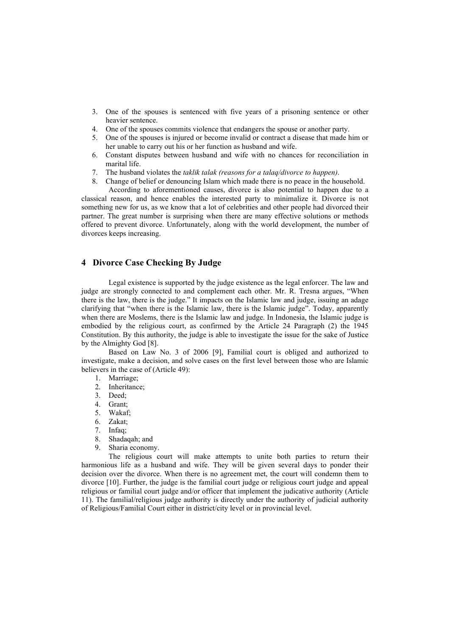- 3. One of the spouses is sentenced with five years of a prisoning sentence or other heavier sentence.
- 4. One of the spouses commits violence that endangers the spouse or another party.
- 5. One of the spouses is injured or become invalid or contract a disease that made him or her unable to carry out his or her function as husband and wife.
- 6. Constant disputes between husband and wife with no chances for reconciliation in marital life.
- 7. The husband violates the *taklik talak (reasons for a talaq/divorce to happen)*.
- 8. Change of belief or denouncing Islam which made there is no peace in the household.

According to aforementioned causes, divorce is also potential to happen due to a classical reason, and hence enables the interested party to minimalize it. Divorce is not something new for us, as we know that a lot of celebrities and other people had divorced their partner. The great number is surprising when there are many effective solutions or methods offered to prevent divorce. Unfortunately, along with the world development, the number of divorces keeps increasing.

# **4 Divorce Case Checking By Judge**

Legal existence is supported by the judge existence as the legal enforcer. The law and judge are strongly connected to and complement each other. Mr. R. Tresna argues, "When there is the law, there is the judge." It impacts on the Islamic law and judge, issuing an adage clarifying that "when there is the Islamic law, there is the Islamic judge". Today, apparently when there are Moslems, there is the Islamic law and judge. In Indonesia, the Islamic judge is embodied by the religious court, as confirmed by the Article 24 Paragraph (2) the 1945 Constitution. By this authority, the judge is able to investigate the issue for the sake of Justice by the Almighty God [8].

Based on Law No. 3 of 2006 [9], Familial court is obliged and authorized to investigate, make a decision, and solve cases on the first level between those who are Islamic believers in the case of (Article 49):

- 1. Marriage;
- 2. Inheritance;
- 3. Deed;
- 4. Grant;
- 5. Wakaf;
- 6. Zakat;
- 7. Infaq;
- 8. Shadaqah; and
- 9. Sharia economy.

The religious court will make attempts to unite both parties to return their harmonious life as a husband and wife. They will be given several days to ponder their decision over the divorce. When there is no agreement met, the court will condemn them to divorce [10]. Further, the judge is the familial court judge or religious court judge and appeal religious or familial court judge and/or officer that implement the judicative authority (Article 11). The familial/religious judge authority is directly under the authority of judicial authority of Religious/Familial Court either in district/city level or in provincial level.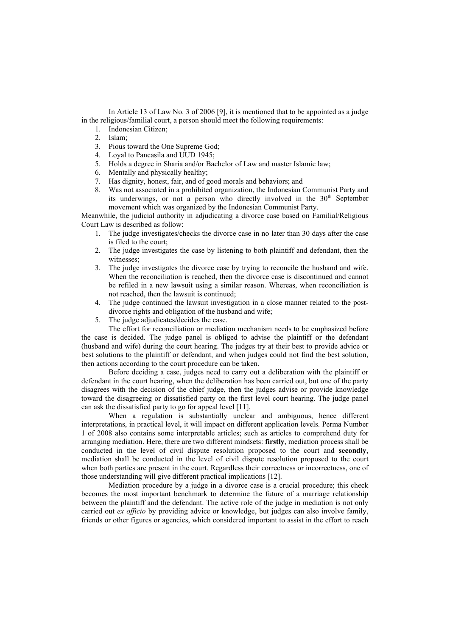In Article 13 of Law No. 3 of 2006 [9], it is mentioned that to be appointed as a judge in the religious/familial court, a person should meet the following requirements:

- 1. Indonesian Citizen;
- 2. Islam;
- 3. Pious toward the One Supreme God;
- 4. Loyal to Pancasila and UUD 1945;<br>5. Holds a degree in Sharia and/or Bac
- 5. Holds a degree in Sharia and/or Bachelor of Law and master Islamic law;
- 6. Mentally and physically healthy;<br>7. Has dignity, honest, fair, and of g
- Has dignity, honest, fair, and of good morals and behaviors; and
- 8. Was not associated in a prohibited organization, the Indonesian Communist Party and its underwings, or not a person who directly involved in the 30<sup>th</sup> September movement which was organized by the Indonesian Communist Party.

Meanwhile, the judicial authority in adjudicating a divorce case based on Familial/Religious Court Law is described as follow:

- 1. The judge investigates/checks the divorce case in no later than 30 days after the case is filed to the court;
- 2. The judge investigates the case by listening to both plaintiff and defendant, then the witnesses;
- 3. The judge investigates the divorce case by trying to reconcile the husband and wife. When the reconciliation is reached, then the divorce case is discontinued and cannot be refiled in a new lawsuit using a similar reason. Whereas, when reconciliation is not reached, then the lawsuit is continued;
- 4. The judge continued the lawsuit investigation in a close manner related to the postdivorce rights and obligation of the husband and wife;
- 5. The judge adjudicates/decides the case.

The effort for reconciliation or mediation mechanism needs to be emphasized before the case is decided. The judge panel is obliged to advise the plaintiff or the defendant (husband and wife) during the court hearing. The judges try at their best to provide advice or best solutions to the plaintiff or defendant, and when judges could not find the best solution, then actions according to the court procedure can be taken.

Before deciding a case, judges need to carry out a deliberation with the plaintiff or defendant in the court hearing, when the deliberation has been carried out, but one of the party disagrees with the decision of the chief judge, then the judges advise or provide knowledge toward the disagreeing or dissatisfied party on the first level court hearing. The judge panel can ask the dissatisfied party to go for appeal level [11].

When a regulation is substantially unclear and ambiguous, hence different interpretations, in practical level, it will impact on different application levels. Perma Number 1 of 2008 also contains some interpretable articles; such as articles to comprehend duty for arranging mediation. Here, there are two different mindsets: **firstly**, mediation process shall be conducted in the level of civil dispute resolution proposed to the court and **secondly**, mediation shall be conducted in the level of civil dispute resolution proposed to the court when both parties are present in the court. Regardless their correctness or incorrectness, one of those understanding will give different practical implications [12].

Mediation procedure by a judge in a divorce case is a crucial procedure; this check becomes the most important benchmark to determine the future of a marriage relationship between the plaintiff and the defendant. The active role of the judge in mediation is not only carried out *ex officio* by providing advice or knowledge, but judges can also involve family, friends or other figures or agencies, which considered important to assist in the effort to reach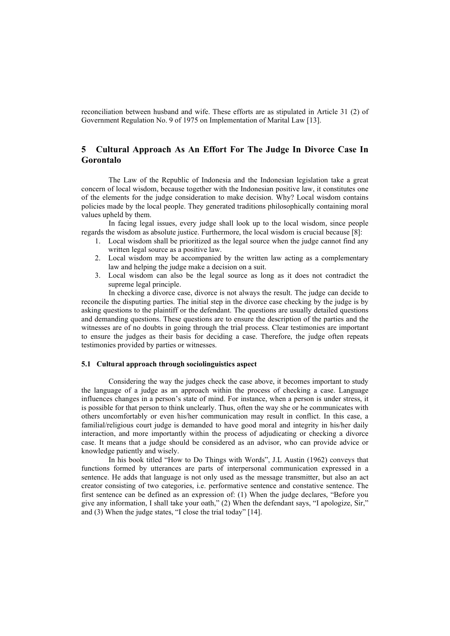reconciliation between husband and wife. These efforts are as stipulated in Article 31 (2) of Government Regulation No. 9 of 1975 on Implementation of Marital Law [13].

# **5 Cultural Approach As An Effort For The Judge In Divorce Case In Gorontalo**

The Law of the Republic of Indonesia and the Indonesian legislation take a great concern of local wisdom, because together with the Indonesian positive law, it constitutes one of the elements for the judge consideration to make decision. Why? Local wisdom contains policies made by the local people. They generated traditions philosophically containing moral values upheld by them.

In facing legal issues, every judge shall look up to the local wisdom, since people regards the wisdom as absolute justice. Furthermore, the local wisdom is crucial because [8]:

- 1. Local wisdom shall be prioritized as the legal source when the judge cannot find any written legal source as a positive law.
- 2. Local wisdom may be accompanied by the written law acting as a complementary law and helping the judge make a decision on a suit.
- 3. Local wisdom can also be the legal source as long as it does not contradict the supreme legal principle.

In checking a divorce case, divorce is not always the result. The judge can decide to reconcile the disputing parties. The initial step in the divorce case checking by the judge is by asking questions to the plaintiff or the defendant. The questions are usually detailed questions and demanding questions. These questions are to ensure the description of the parties and the witnesses are of no doubts in going through the trial process. Clear testimonies are important to ensure the judges as their basis for deciding a case. Therefore, the judge often repeats testimonies provided by parties or witnesses.

#### **5.1 Cultural approach through sociolinguistics aspect**

Considering the way the judges check the case above, it becomes important to study the language of a judge as an approach within the process of checking a case. Language influences changes in a person's state of mind. For instance, when a person is under stress, it is possible for that person to think unclearly. Thus, often the way she or he communicates with others uncomfortably or even his/her communication may result in conflict. In this case, a familial/religious court judge is demanded to have good moral and integrity in his/her daily interaction, and more importantly within the process of adjudicating or checking a divorce case. It means that a judge should be considered as an advisor, who can provide advice or knowledge patiently and wisely.

In his book titled "How to Do Things with Words", J.L Austin (1962) conveys that functions formed by utterances are parts of interpersonal communication expressed in a sentence. He adds that language is not only used as the message transmitter, but also an act creator consisting of two categories, i.e. performative sentence and constative sentence. The first sentence can be defined as an expression of: (1) When the judge declares, "Before you give any information, I shall take your oath," (2) When the defendant says, "I apologize, Sir," and (3) When the judge states, "I close the trial today" [14].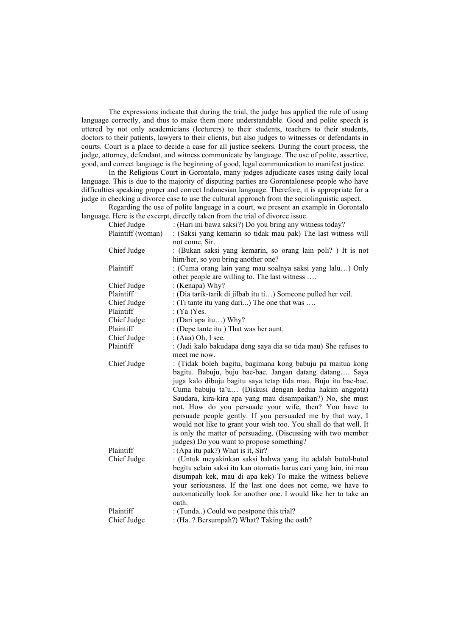The expressions indicate that during the trial, the judge has applied the rule of using language correctly, and thus to make them more understandable. Good and polite speech is uttered by not only academicians (lecturers) to their students, teachers to their students, doctors to their patients, lawyers to their clients, but also judges to witnesses or defendants in courts. Court is a place to decide a case for all justice seekers. During the court process, the judge, attorney, defendant, and witness communicate by language. The use of polite, assertive, good, and correct language is the beginning of good, legal communication to manifest justice.

In the Religious Court in Gorontalo, many judges adjudicate cases using daily local language. This is due to the majority of disputing parties are Gorontalonese people who have difficulties speaking proper and correct Indonesian language. Therefore, it is appropriate for a judge in checking a divorce case to use the cultural approach from the sociolinguistic aspect.

Regarding the use of polite language in a court, we present an example in Gorontalo language. Here is the excerpt, directly taken from the trial of divorce issue.

| Chief Judge       | : (Hari ini bawa saksi?) Do you bring any witness today?           |
|-------------------|--------------------------------------------------------------------|
| Plaintiff (woman) | : (Saksi yang kemarin so tidak mau pak) The last witness will      |
|                   | not come, Sir.                                                     |
| Chief Judge       | : (Bukan saksi yang kemarin, so orang lain poli?) It is not        |
|                   | him/her, so you bring another one?                                 |
| Plaintiff         | : (Cuma orang lain yang mau soalnya saksi yang lalu) Only          |
|                   | other people are willing to. The last witness                      |
| Chief Judge       | : (Kenapa) Why?                                                    |
| Plaintiff         | : (Dia tarik-tarik di jilbab itu ti) Someone pulled her veil.      |
| Chief Judge       | : (Ti tante itu yang dari) The one that was                        |
| Plaintiff         | :(Ya)Yes.                                                          |
| Chief Judge       | : (Dari apa itu) Why?                                              |
| Plaintiff         | : (Depe tante itu ) That was her aunt.                             |
| Chief Judge       | : $(Aaa) Oh, I see.$                                               |
| Plaintiff         | : (Jadi kalo bakudapa deng saya dia so tida mau) She refuses to    |
|                   | meet me now.                                                       |
| Chief Judge       | : (Tidak boleh bagitu, bagimana kong babuju pa maitua kong         |
|                   | bagitu. Babuju, buju bae-bae. Jangan datang datang Saya            |
|                   | juga kalo dibuju bagitu saya tetap tida mau. Buju itu bae-bae.     |
|                   | Cuma babuju ta'u (Diskusi dengan kedua hakim anggota)              |
|                   | Saudara, kira-kira apa yang mau disampaikan?) No, she must         |
|                   | not. How do you persuade your wife, then? You have to              |
|                   | persuade people gently. If you persuaded me by that way, I         |
|                   | would not like to grant your wish too. You shall do that well. It  |
|                   | is only the matter of persuading. (Discussing with two member      |
|                   | judges) Do you want to propose something?                          |
| Plaintiff         | : (Apa itu pak?) What is it, Sir?                                  |
| Chief Judge       | : (Untuk meyakinkan saksi bahwa yang itu adalah butul-butul        |
|                   | begitu selain saksi itu kan otomatis harus cari yang lain, ini mau |
|                   | disumpah kek, mau di apa kek) To make the witness believe          |
|                   | your seriousness. If the last one does not come, we have to        |
|                   | automatically look for another one. I would like her to take an    |
|                   | oath.                                                              |
| Plaintiff         | : (Tunda) Could we postpone this trial?                            |
| Chief Judge       | : (Ha? Bersumpah?) What? Taking the oath?                          |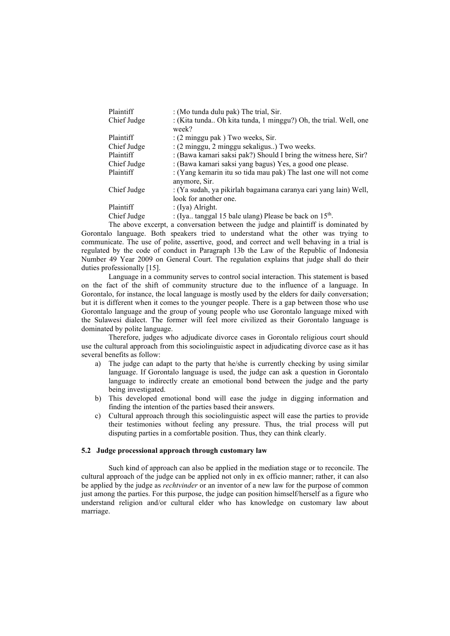| Plaintiff   | : (Mo tunda dulu pak) The trial, Sir.                            |
|-------------|------------------------------------------------------------------|
| Chief Judge | : (Kita tunda Oh kita tunda, 1 minggu?) Oh, the trial. Well, one |
|             | week?                                                            |
| Plaintiff   | $(2 \text{ minggu pak})$ Two weeks, Sir.                         |
| Chief Judge | : (2 minggu, 2 minggu sekaligus) Two weeks.                      |
| Plaintiff   | : (Bawa kamari saksi pak?) Should I bring the witness here, Sir? |
| Chief Judge | : (Bawa kamari saksi yang bagus) Yes, a good one please.         |
| Plaintiff   | : (Yang kemarin itu so tida mau pak) The last one will not come  |
|             | anymore, Sir.                                                    |
| Chief Judge | : (Ya sudah, ya pikirlah bagaimana caranya cari yang lain) Well, |
|             | look for another one.                                            |
| Plaintiff   | $($ [ya) Alright.                                                |
| Chief Judge | : (Iya tanggal 15 bale ulang) Please be back on $15th$ .         |
|             |                                                                  |

The above excerpt, a conversation between the judge and plaintiff is dominated by Gorontalo language. Both speakers tried to understand what the other was trying to communicate. The use of polite, assertive, good, and correct and well behaving in a trial is regulated by the code of conduct in Paragraph 13b the Law of the Republic of Indonesia Number 49 Year 2009 on General Court. The regulation explains that judge shall do their duties professionally [15].

Language in a community serves to control social interaction. This statement is based on the fact of the shift of community structure due to the influence of a language. In Gorontalo, for instance, the local language is mostly used by the elders for daily conversation; but it is different when it comes to the younger people. There is a gap between those who use Gorontalo language and the group of young people who use Gorontalo language mixed with the Sulawesi dialect. The former will feel more civilized as their Gorontalo language is dominated by polite language.

Therefore, judges who adjudicate divorce cases in Gorontalo religious court should use the cultural approach from this sociolinguistic aspect in adjudicating divorce case as it has several benefits as follow:

- a) The judge can adapt to the party that he/she is currently checking by using similar language. If Gorontalo language is used, the judge can ask a question in Gorontalo language to indirectly create an emotional bond between the judge and the party being investigated.
- b) This developed emotional bond will ease the judge in digging information and finding the intention of the parties based their answers.
- c) Cultural approach through this sociolinguistic aspect will ease the parties to provide their testimonies without feeling any pressure. Thus, the trial process will put disputing parties in a comfortable position. Thus, they can think clearly.

#### **5.2 Judge processional approach through customary law**

Such kind of approach can also be applied in the mediation stage or to reconcile. The cultural approach of the judge can be applied not only in ex officio manner; rather, it can also be applied by the judge as *rechtvinder* or an inventor of a new law for the purpose of common just among the parties. For this purpose, the judge can position himself/herself as a figure who understand religion and/or cultural elder who has knowledge on customary law about marriage.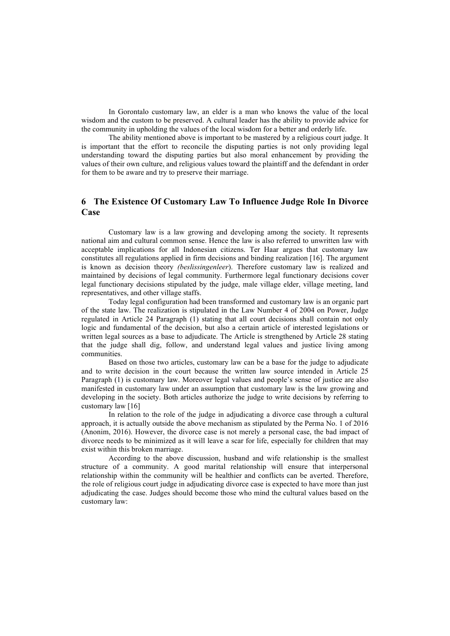In Gorontalo customary law, an elder is a man who knows the value of the local wisdom and the custom to be preserved. A cultural leader has the ability to provide advice for the community in upholding the values of the local wisdom for a better and orderly life.

The ability mentioned above is important to be mastered by a religious court judge. It is important that the effort to reconcile the disputing parties is not only providing legal understanding toward the disputing parties but also moral enhancement by providing the values of their own culture, and religious values toward the plaintiff and the defendant in order for them to be aware and try to preserve their marriage.

# **6 The Existence Of Customary Law To Influence Judge Role In Divorce Case**

Customary law is a law growing and developing among the society. It represents national aim and cultural common sense. Hence the law is also referred to unwritten law with acceptable implications for all Indonesian citizens. Ter Haar argues that customary law constitutes all regulations applied in firm decisions and binding realization [16]. The argument is known as decision theory *(beslissingenleer*). Therefore customary law is realized and maintained by decisions of legal community. Furthermore legal functionary decisions cover legal functionary decisions stipulated by the judge, male village elder, village meeting, land representatives, and other village staffs.

Today legal configuration had been transformed and customary law is an organic part of the state law. The realization is stipulated in the Law Number 4 of 2004 on Power, Judge regulated in Article 24 Paragraph (1) stating that all court decisions shall contain not only logic and fundamental of the decision, but also a certain article of interested legislations or written legal sources as a base to adjudicate. The Article is strengthened by Article 28 stating that the judge shall dig, follow, and understand legal values and justice living among communities.

Based on those two articles, customary law can be a base for the judge to adjudicate and to write decision in the court because the written law source intended in Article 25 Paragraph (1) is customary law. Moreover legal values and people's sense of justice are also manifested in customary law under an assumption that customary law is the law growing and developing in the society. Both articles authorize the judge to write decisions by referring to customary law [16]

In relation to the role of the judge in adjudicating a divorce case through a cultural approach, it is actually outside the above mechanism as stipulated by the Perma No. 1 of 2016 (Anonim, 2016). However, the divorce case is not merely a personal case, the bad impact of divorce needs to be minimized as it will leave a scar for life, especially for children that may exist within this broken marriage.

According to the above discussion, husband and wife relationship is the smallest structure of a community. A good marital relationship will ensure that interpersonal relationship within the community will be healthier and conflicts can be averted. Therefore, the role of religious court judge in adjudicating divorce case is expected to have more than just adjudicating the case. Judges should become those who mind the cultural values based on the customary law: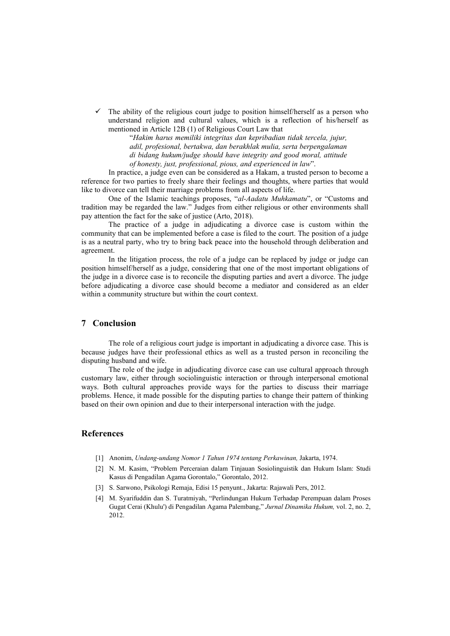The ability of the religious court judge to position himself/herself as a person who understand religion and cultural values, which is a reflection of his/herself as mentioned in Article 12B (1) of Religious Court Law that

> "*Hakim harus memiliki integritas dan kepribadian tidak tercela, jujur, adil, profesional, bertakwa, dan berakhlak mulia, serta berpengalaman di bidang hukum/judge should have integrity and good moral, attitude of honesty, just, professional, pious, and experienced in law*".

In practice, a judge even can be considered as a Hakam, a trusted person to become a reference for two parties to freely share their feelings and thoughts, where parties that would like to divorce can tell their marriage problems from all aspects of life.

One of the Islamic teachings proposes, "*al-Aadatu Muhkamatu*", or "Customs and tradition may be regarded the law." Judges from either religious or other environments shall pay attention the fact for the sake of justice (Arto, 2018).

The practice of a judge in adjudicating a divorce case is custom within the community that can be implemented before a case is filed to the court. The position of a judge is as a neutral party, who try to bring back peace into the household through deliberation and agreement.

In the litigation process, the role of a judge can be replaced by judge or judge can position himself/herself as a judge, considering that one of the most important obligations of the judge in a divorce case is to reconcile the disputing parties and avert a divorce. The judge before adjudicating a divorce case should become a mediator and considered as an elder within a community structure but within the court context.

### **7 Conclusion**

The role of a religious court judge is important in adjudicating a divorce case. This is because judges have their professional ethics as well as a trusted person in reconciling the disputing husband and wife.

The role of the judge in adjudicating divorce case can use cultural approach through customary law, either through sociolinguistic interaction or through interpersonal emotional ways. Both cultural approaches provide ways for the parties to discuss their marriage problems. Hence, it made possible for the disputing parties to change their pattern of thinking based on their own opinion and due to their interpersonal interaction with the judge.

## **References**

- [1] Anonim, *Undang-undang Nomor 1 Tahun 1974 tentang Perkawinan,* Jakarta, 1974.
- [2] N. M. Kasim, "Problem Perceraian dalam Tinjauan Sosiolinguistik dan Hukum Islam: Studi Kasus di Pengadilan Agama Gorontalo," Gorontalo, 2012.
- [3] S. Sarwono, Psikologi Remaja, Edisi 15 penyunt., Jakarta: Rajawali Pers, 2012.
- [4] M. Syarifuddin dan S. Turatmiyah, "Perlindungan Hukum Terhadap Perempuan dalam Proses Gugat Cerai (Khulu') di Pengadilan Agama Palembang," *Jurnal Dinamika Hukum,* vol. 2, no. 2, 2012.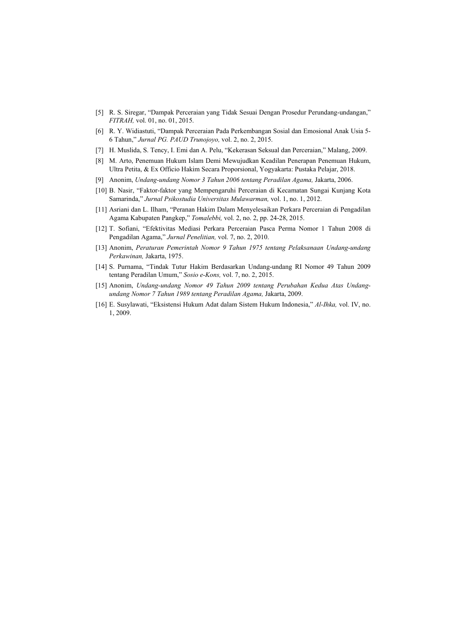- [5] R. S. Siregar, "Dampak Perceraian yang Tidak Sesuai Dengan Prosedur Perundang-undangan," *FITRAH,* vol. 01, no. 01, 2015.
- [6] R. Y. Widiastuti, "Dampak Perceraian Pada Perkembangan Sosial dan Emosional Anak Usia 5- 6 Tahun," *Jurnal PG. PAUD Trunojoyo,* vol. 2, no. 2, 2015.
- [7] H. Muslida, S. Tency, I. Emi dan A. Pelu, "Kekerasan Seksual dan Perceraian," Malang, 2009.
- [8] M. Arto, Penemuan Hukum Islam Demi Mewujudkan Keadilan Penerapan Penemuan Hukum, Ultra Petita, & Ex Officio Hakim Secara Proporsional, Yogyakarta: Pustaka Pelajar, 2018.
- [9] Anonim, *Undang-undang Nomor 3 Tahun 2006 tentang Peradilan Agama,* Jakarta, 2006.
- [10] B. Nasir, "Faktor-faktor yang Mempengaruhi Perceraian di Kecamatan Sungai Kunjang Kota Samarinda," *Jurnal Psikostudia Universitas Mulawarman,* vol. 1, no. 1, 2012.
- [11] Asriani dan L. Ilham, "Peranan Hakim Dalam Menyelesaikan Perkara Perceraian di Pengadilan Agama Kabupaten Pangkep," *Tomalebbi,* vol. 2, no. 2, pp. 24-28, 2015.
- [12] T. Sofiani, "Efektivitas Mediasi Perkara Perceraian Pasca Perma Nomor 1 Tahun 2008 di Pengadilan Agama," *Jurnal Penelitian,* vol. 7, no. 2, 2010.
- [13] Anonim, *Peraturan Pemerintah Nomor 9 Tahun 1975 tentang Pelaksanaan Undang-undang Perkawinan,* Jakarta, 1975.
- [14] S. Purnama, "Tindak Tutur Hakim Berdasarkan Undang-undang RI Nomor 49 Tahun 2009 tentang Peradilan Umum," *Sosio e-Kons,* vol. 7, no. 2, 2015.
- [15] Anonim, *Undang-undang Nomor 49 Tahun 2009 tentang Perubahan Kedua Atas Undangundang Nomor 7 Tahun 1989 tentang Peradilan Agama,* Jakarta, 2009.
- [16] E. Susylawati, "Eksistensi Hukum Adat dalam Sistem Hukum Indonesia," *Al-Ihka,* vol. IV, no. 1, 2009.